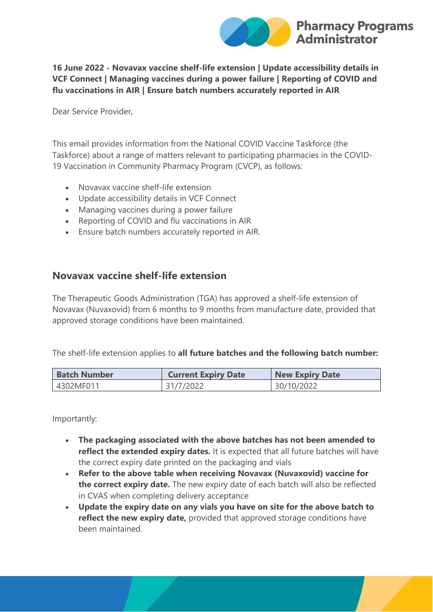

**16 June 2022 - Novavax vaccine shelf-life extension | Update accessibility details in VCF Connect | Managing vaccines during a power failure | Reporting of COVID and flu vaccinations in AIR | Ensure batch numbers accurately reported in AIR**

Dear Service Provider,

This email provides information from the National COVID Vaccine Taskforce (the Taskforce) about a range of matters relevant to participating pharmacies in the COVID-19 Vaccination in Community Pharmacy Program (CVCP), as follows:

- Novavax vaccine shelf-life extension
- Update accessibility details in VCF Connect
- Managing vaccines during a power failure
- Reporting of COVID and flu vaccinations in AIR
- Ensure batch numbers accurately reported in AIR.

#### **Novavax vaccine shelf-life extension**

The Therapeutic Goods Administration (TGA) has approved a shelf-life extension of Novavax (Nuvaxovid) from 6 months to 9 months from manufacture date, provided that approved storage conditions have been maintained.

The shelf-life extension applies to **all future batches and the following batch number:**

| <b>Batch Number</b> | <b>Current Expiry Date</b> | <b>New Expiry Date</b> |
|---------------------|----------------------------|------------------------|
| 4302MF011           | 31/7/2022                  | 30/10/2022             |

Importantly:

- **The packaging associated with the above batches has not been amended to reflect the extended expiry dates.** It is expected that all future batches will have the correct expiry date printed on the packaging and vials
- **Refer to the above table when receiving Novavax (Nuvaxovid) vaccine for the correct expiry date.** The new expiry date of each batch will also be reflected in CVAS when completing delivery acceptance
- **Update the expiry date on any vials you have on site for the above batch to reflect the new expiry date,** provided that approved storage conditions have been maintained.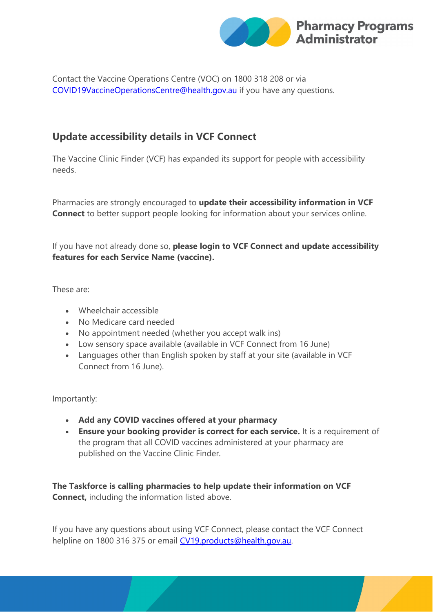

Contact the Vaccine Operations Centre (VOC) on 1800 318 208 or via [COVID19VaccineOperationsCentre@health.gov.au](mailto:COVID19VaccineOperationsCentre@health.gov.au) if you have any questions.

# **Update accessibility details in VCF Connect**

The Vaccine Clinic Finder (VCF) has expanded its support for people with accessibility needs.

Pharmacies are strongly encouraged to **update their accessibility information in VCF Connect** to better support people looking for information about your services online.

If you have not already done so, **please login to VCF Connect and update accessibility features for each Service Name (vaccine).**

These are:

- Wheelchair accessible
- No Medicare card needed
- No appointment needed (whether you accept walk ins)
- Low sensory space available (available in VCF Connect from 16 June)
- Languages other than English spoken by staff at your site (available in VCF Connect from 16 June).

Importantly:

- **Add any COVID vaccines offered at your pharmacy**
- **Ensure your booking provider is correct for each service.** It is a requirement of the program that all COVID vaccines administered at your pharmacy are published on the Vaccine Clinic Finder.

**The Taskforce is calling pharmacies to help update their information on VCF Connect.** including the information listed above.

If you have any questions about using VCF Connect, please contact the VCF Connect helpline on 1800 316 375 or email [CV19.products@health.gov.au.](mailto:CV19.products@health.gov.au)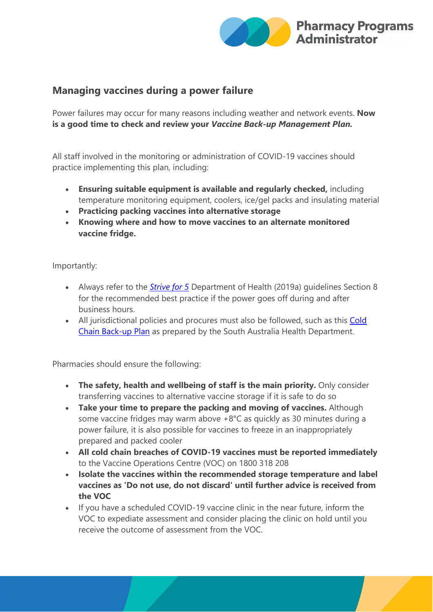

## **Managing vaccines during a power failure**

Power failures may occur for many reasons including weather and network events. **Now is a good time to check and review your** *Vaccine Back-up Management Plan.*

All staff involved in the monitoring or administration of COVID-19 vaccines should practice implementing this plan, including:

- **Ensuring suitable equipment is available and regularly checked,** including temperature monitoring equipment, coolers, ice/gel packs and insulating material
- **Practicing packing vaccines into alternative storage**
- **Knowing where and how to move vaccines to an alternate monitored vaccine fridge.**

Importantly:

- Always refer to the *[Strive for 5](https://protect-au.mimecast.com/s/juRDClx1w7HzG31T9KMhr?domain=health.gov.au)* Department of Health (2019a) guidelines Section 8 for the recommended best practice if the power goes off during and after business hours.
- All jurisdictional policies and procures must also be followed, such as this Cold [Chain Back-up Plan](https://protect-au.mimecast.com/s/iDlRCmO5xyuRX7pUBEopi?domain=sahealth.sa.gov.au) as prepared by the South Australia Health Department.

Pharmacies should ensure the following:

- **The safety, health and wellbeing of staff is the main priority.** Only consider transferring vaccines to alternative vaccine storage if it is safe to do so
- **Take your time to prepare the packing and moving of vaccines.** Although some vaccine fridges may warm above +8°C as quickly as 30 minutes during a power failure, it is also possible for vaccines to freeze in an inappropriately prepared and packed cooler
- **All cold chain breaches of COVID-19 vaccines must be reported immediately** to the Vaccine Operations Centre (VOC) on 1800 318 208
- **Isolate the vaccines within the recommended storage temperature and label vaccines as 'Do not use, do not discard' until further advice is received from the VOC**
- If you have a scheduled COVID-19 vaccine clinic in the near future, inform the VOC to expediate assessment and consider placing the clinic on hold until you receive the outcome of assessment from the VOC.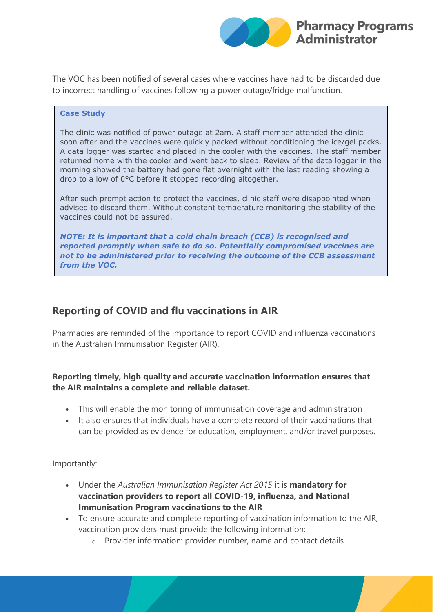

The VOC has been notified of several cases where vaccines have had to be discarded due to incorrect handling of vaccines following a power outage/fridge malfunction.

#### **Case Study**

The clinic was notified of power outage at 2am. A staff member attended the clinic soon after and the vaccines were quickly packed without conditioning the ice/gel packs. A data logger was started and placed in the cooler with the vaccines. The staff member returned home with the cooler and went back to sleep. Review of the data logger in the morning showed the battery had gone flat overnight with the last reading showing a drop to a low of 0°C before it stopped recording altogether.

After such prompt action to protect the vaccines, clinic staff were disappointed when advised to discard them. Without constant temperature monitoring the stability of the vaccines could not be assured.

*NOTE: It is important that a cold chain breach (CCB) is recognised and reported promptly when safe to do so. Potentially compromised vaccines are not to be administered prior to receiving the outcome of the CCB assessment from the VOC.*

## **Reporting of COVID and flu vaccinations in AIR**

Pharmacies are reminded of the importance to report COVID and influenza vaccinations in the Australian Immunisation Register (AIR).

#### **Reporting timely, high quality and accurate vaccination information ensures that the AIR maintains a complete and reliable dataset.**

- This will enable the monitoring of immunisation coverage and administration
- It also ensures that individuals have a complete record of their vaccinations that can be provided as evidence for education, employment, and/or travel purposes.

Importantly:

- Under the *Australian Immunisation Register Act 2015* it is **mandatory for vaccination providers to report all COVID-19, influenza, and National Immunisation Program vaccinations to the AIR**
- To ensure accurate and complete reporting of vaccination information to the AIR, vaccination providers must provide the following information:
	- o Provider information: provider number, name and contact details